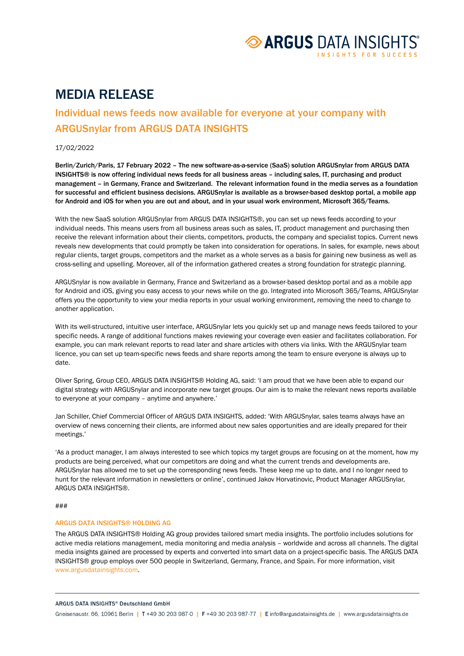

# MEDIA RELEASE

# Individual news feeds now available for everyone at your company with ARGUSnylar from ARGUS DATA INSIGHTS

### 17/02/2022

Berlin/Zurich/Paris, 17 February 2022 – The new software-as-a-service (SaaS) solution ARGUSnylar from ARGUS DATA INSIGHTS® is now offering individual news feeds for all business areas – including sales, IT, purchasing and product management – in Germany, France and Switzerland. The relevant information found in the media serves as a foundation for successful and efficient business decisions. ARGUSnylar is available as a browser-based desktop portal, a mobile app for Android and iOS for when you are out and about, and in your usual work environment, Microsoft 365/Teams.

With the new SaaS solution ARGUSnylar from ARGUS DATA INSIGHTS®, you can set up news feeds according to your individual needs. This means users from all business areas such as sales, IT, product management and purchasing then receive the relevant information about their clients, competitors, products, the company and specialist topics. Current news reveals new developments that could promptly be taken into consideration for operations. In sales, for example, news about regular clients, target groups, competitors and the market as a whole serves as a basis for gaining new business as well as cross-selling and upselling. Moreover, all of the information gathered creates a strong foundation for strategic planning.

ARGUSnylar is now available in Germany, France and Switzerland as a browser-based desktop portal and as a mobile app for Android and iOS, giving you easy access to your news while on the go. Integrated into Microsoft 365/Teams, ARGUSnylar offers you the opportunity to view your media reports in your usual working environment, removing the need to change to another application.

With its well-structured, intuitive user interface, ARGUSnylar lets you quickly set up and manage news feeds tailored to your specific needs. A range of additional functions makes reviewing your coverage even easier and facilitates collaboration. For example, you can mark relevant reports to read later and share articles with others via links. With the ARGUSnylar team licence, you can set up team-specific news feeds and share reports among the team to ensure everyone is always up to date.

Oliver Spring, Group CEO, ARGUS DATA INSIGHTS® Holding AG, said: 'I am proud that we have been able to expand our digital strategy with ARGUSnylar and incorporate new target groups. Our aim is to make the relevant news reports available to everyone at your company – anytime and anywhere.'

Jan Schiller, Chief Commercial Officer of ARGUS DATA INSIGHTS, added: 'With ARGUSnylar, sales teams always have an overview of news concerning their clients, are informed about new sales opportunities and are ideally prepared for their meetings.'

'As a product manager, I am always interested to see which topics my target groups are focusing on at the moment, how my products are being perceived, what our competitors are doing and what the current trends and developments are. ARGUSnylar has allowed me to set up the corresponding news feeds. These keep me up to date, and I no longer need to hunt for the relevant information in newsletters or online', continued Jakov Horvatinovic, Product Manager ARGUSnylar, ARGUS DATA INSIGHTS®.

#### ###

## ARGUS DATA INSIGHTS® HOLDING AG

The ARGUS DATA INSIGHTS® Holding AG group provides tailored smart media insights. The portfolio includes solutions for active media relations management, media monitoring and media analysis – worldwide and across all channels. The digital media insights gained are processed by experts and converted into smart data on a project-specific basis. The ARGUS DATA INSIGHTS® group employs over 500 people in Switzerland, Germany, France, and Spain[. For more information, visit](file://msifs/abtlgDMA/vb/kom/intern/1.5_PR/202106_PR_Flat/www.argusdatainsights.com)  www.argusdatainsights.com.

#### ARGUS DATA INSIGHTS® Deutschland GmbH

Gneisenaustr. 66, 10961 Berlin | T +49 30 203 987-0 | F +49 30 203 987-77 | Einfo@argusdatainsights.de | www.argusdatainsights.de